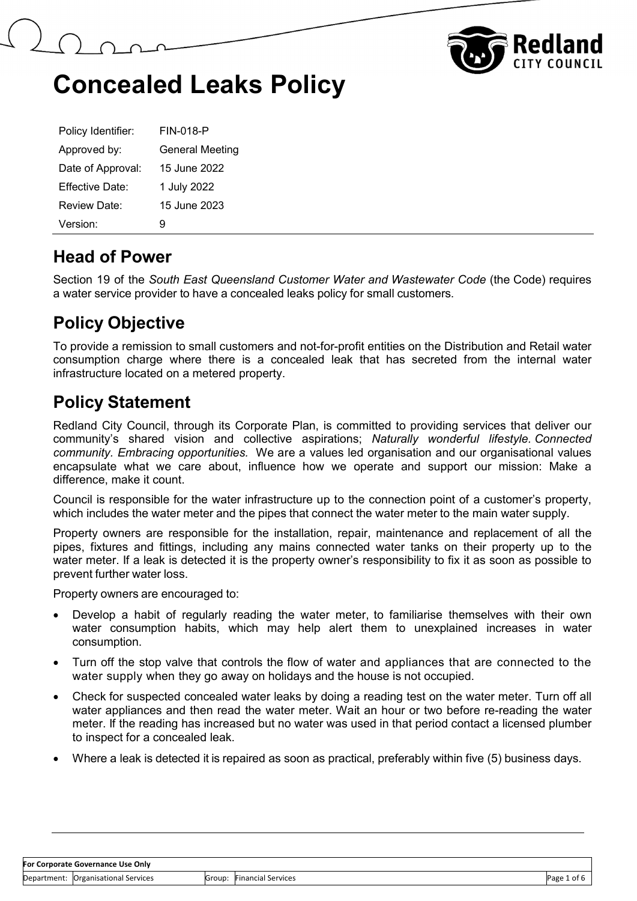



| Policy Identifier: | <b>FIN-018-P</b>       |
|--------------------|------------------------|
| Approved by:       | <b>General Meeting</b> |
| Date of Approval:  | 15 June 2022           |
| Effective Date:    | 1 July 2022            |
| Review Date:       | 15 June 2023           |
| Version:           | g                      |

#### **Head of Power**

Section 19 of the *South East Queensland Customer Water and Wastewater Code* (the Code) requires a water service provider to have a concealed leaks policy for small customers.

## **Policy Objective**

To provide a remission to small customers and not-for-profit entities on the Distribution and Retail water consumption charge where there is a concealed leak that has secreted from the internal water infrastructure located on a metered property.

### **Policy Statement**

Redland City Council, through its Corporate Plan, is committed to providing services that deliver our community's shared vision and collective aspirations; *Naturally wonderful lifestyle. Connected community. Embracing opportunities.* We are a values led organisation and our organisational values encapsulate what we care about, influence how we operate and support our mission: Make a difference, make it count.

Council is responsible for the water infrastructure up to the connection point of a customer's property, which includes the water meter and the pipes that connect the water meter to the main water supply.

Property owners are responsible for the installation, repair, maintenance and replacement of all the pipes, fixtures and fittings, including any mains connected water tanks on their property up to the water meter. If a leak is detected it is the property owner's responsibility to fix it as soon as possible to prevent further water loss.

Property owners are encouraged to:

- Develop a habit of regularly reading the water meter, to familiarise themselves with their own water consumption habits, which may help alert them to unexplained increases in water consumption.
- Turn off the stop valve that controls the flow of water and appliances that are connected to the water supply when they go away on holidays and the house is not occupied.
- Check for suspected concealed water leaks by doing a reading test on the water meter. Turn off all water appliances and then read the water meter. Wait an hour or two before re-reading the water meter. If the reading has increased but no water was used in that period contact a licensed plumber to inspect for a concealed leak.
- Where a leak is detected it is repaired as soon as practical, preferably within five (5) business days.

#### **For Corporate Governance Use Only**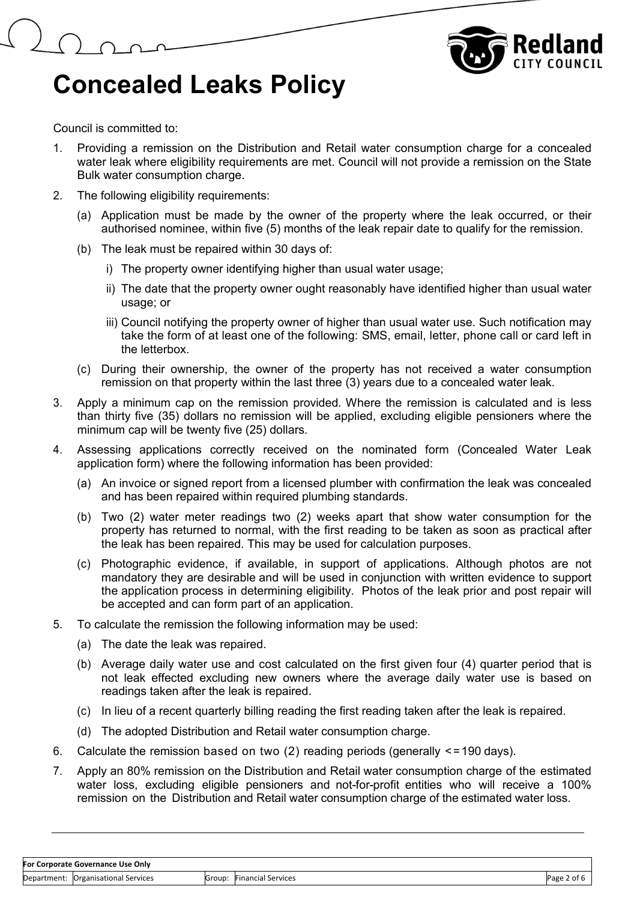



Council is committed to:

- 1. Providing a remission on the Distribution and Retail water consumption charge for a concealed water leak where eligibility requirements are met. Council will not provide a remission on the State Bulk water consumption charge.
- 2. The following eligibility requirements:
	- (a) Application must be made by the owner of the property where the leak occurred, or their authorised nominee, within five (5) months of the leak repair date to qualify for the remission.
	- (b) The leak must be repaired within 30 days of:
		- i) The property owner identifying higher than usual water usage;
		- ii) The date that the property owner ought reasonably have identified higher than usual water usage; or
		- iii) Council notifying the property owner of higher than usual water use. Such notification may take the form of at least one of the following: SMS, email, letter, phone call or card left in the letterbox.
	- (c) During their ownership, the owner of the property has not received a water consumption remission on that property within the last three (3) years due to a concealed water leak.
- 3. Apply a minimum cap on the remission provided. Where the remission is calculated and is less than thirty five (35) dollars no remission will be applied, excluding eligible pensioners where the minimum cap will be twenty five (25) dollars.
- 4. Assessing applications correctly received on the nominated form (Concealed Water Leak application form) where the following information has been provided:
	- (a) An invoice or signed report from a licensed plumber with confirmation the leak was concealed and has been repaired within required plumbing standards.
	- (b) Two (2) water meter readings two (2) weeks apart that show water consumption for the property has returned to normal, with the first reading to be taken as soon as practical after the leak has been repaired. This may be used for calculation purposes.
	- (c) Photographic evidence, if available, in support of applications. Although photos are not mandatory they are desirable and will be used in conjunction with written evidence to support the application process in determining eligibility. Photos of the leak prior and post repair will be accepted and can form part of an application.
- 5. To calculate the remission the following information may be used:
	- (a) The date the leak was repaired.
	- (b) Average daily water use and cost calculated on the first given four (4) quarter period that is not leak effected excluding new owners where the average daily water use is based on readings taken after the leak is repaired.
	- (c) In lieu of a recent quarterly billing reading the first reading taken after the leak is repaired.
	- (d) The adopted Distribution and Retail water consumption charge.
- 6. Calculate the remission based on two  $(2)$  reading periods (generally  $\leq$ =190 days).
- 7. Apply an 80% remission on the Distribution and Retail water consumption charge of the estimated water loss, excluding eligible pensioners and not-for-profit entities who will receive a 100% remission on the Distribution and Retail water consumption charge of the estimated water loss.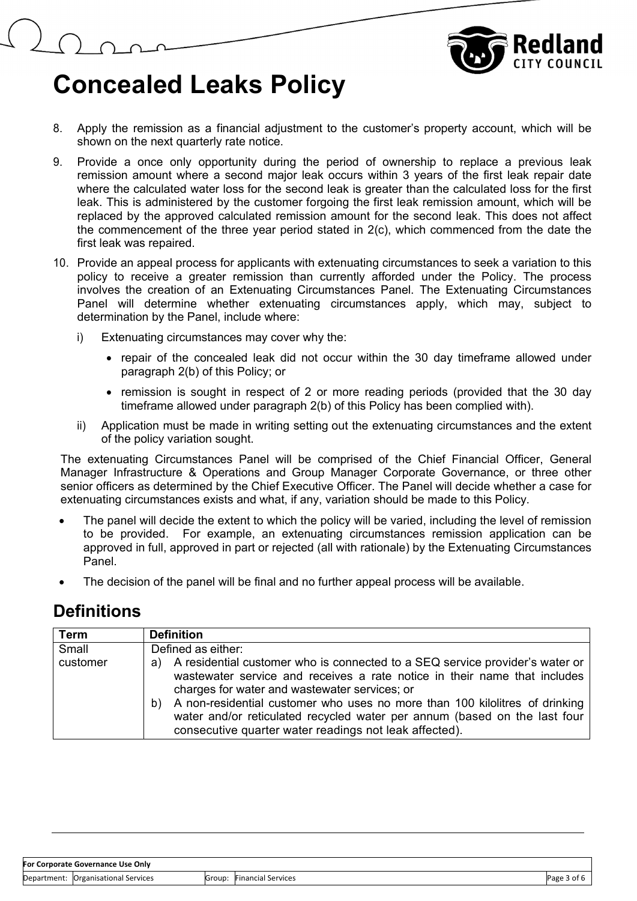

- 8. Apply the remission as a financial adjustment to the customer's property account, which will be shown on the next quarterly rate notice.
- 9. Provide a once only opportunity during the period of ownership to replace a previous leak remission amount where a second major leak occurs within 3 years of the first leak repair date where the calculated water loss for the second leak is greater than the calculated loss for the first leak. This is administered by the customer forgoing the first leak remission amount, which will be replaced by the approved calculated remission amount for the second leak. This does not affect the commencement of the three year period stated in 2(c), which commenced from the date the first leak was repaired.
- 10. Provide an appeal process for applicants with extenuating circumstances to seek a variation to this policy to receive a greater remission than currently afforded under the Policy. The process involves the creation of an Extenuating Circumstances Panel. The Extenuating Circumstances Panel will determine whether extenuating circumstances apply, which may, subject to determination by the Panel, include where:
	- i) Extenuating circumstances may cover why the:
		- repair of the concealed leak did not occur within the 30 day timeframe allowed under paragraph 2(b) of this Policy; or
		- remission is sought in respect of 2 or more reading periods (provided that the 30 day timeframe allowed under paragraph 2(b) of this Policy has been complied with).
	- ii) Application must be made in writing setting out the extenuating circumstances and the extent of the policy variation sought.

The extenuating Circumstances Panel will be comprised of the Chief Financial Officer, General Manager Infrastructure & Operations and Group Manager Corporate Governance, or three other senior officers as determined by the Chief Executive Officer. The Panel will decide whether a case for extenuating circumstances exists and what, if any, variation should be made to this Policy.

- The panel will decide the extent to which the policy will be varied, including the level of remission to be provided. For example, an extenuating circumstances remission application can be approved in full, approved in part or rejected (all with rationale) by the Extenuating Circumstances Panel.
- The decision of the panel will be final and no further appeal process will be available.

#### **Definitions**

| <b>Term</b> | <b>Definition</b>                                                                                                                                                                                                                                                                                                                                                                                                                            |
|-------------|----------------------------------------------------------------------------------------------------------------------------------------------------------------------------------------------------------------------------------------------------------------------------------------------------------------------------------------------------------------------------------------------------------------------------------------------|
| Small       | Defined as either:                                                                                                                                                                                                                                                                                                                                                                                                                           |
| customer    | A residential customer who is connected to a SEQ service provider's water or<br>a)<br>wastewater service and receives a rate notice in their name that includes<br>charges for water and wastewater services; or<br>A non-residential customer who uses no more than 100 kilolitres of drinking<br>b)<br>water and/or reticulated recycled water per annum (based on the last four<br>consecutive quarter water readings not leak affected). |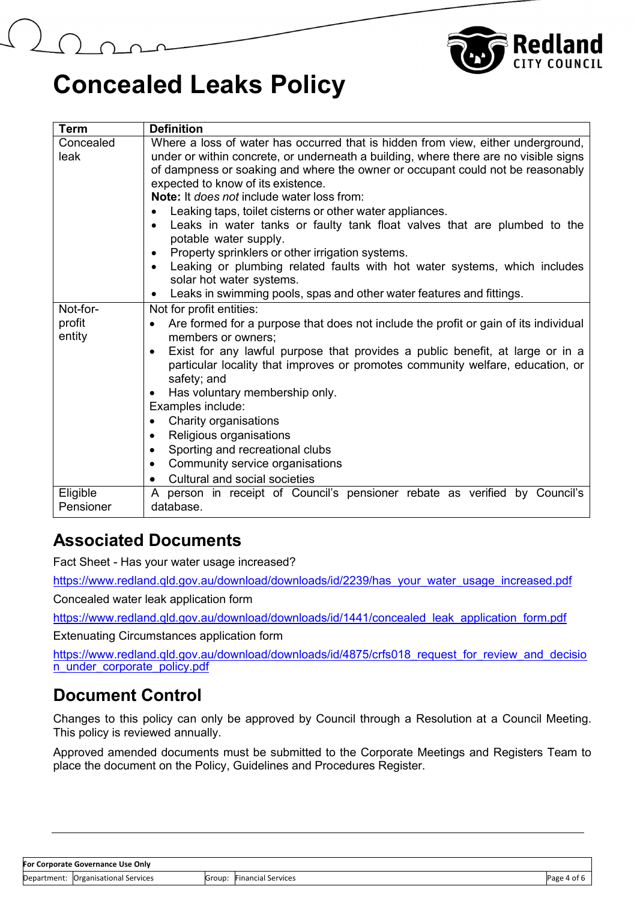

| <b>Term</b>           | <b>Definition</b>                                                                                                      |  |  |  |  |  |  |  |  |  |
|-----------------------|------------------------------------------------------------------------------------------------------------------------|--|--|--|--|--|--|--|--|--|
| Concealed             | Where a loss of water has occurred that is hidden from view, either underground,                                       |  |  |  |  |  |  |  |  |  |
| leak                  | under or within concrete, or underneath a building, where there are no visible signs                                   |  |  |  |  |  |  |  |  |  |
|                       | of dampness or soaking and where the owner or occupant could not be reasonably<br>expected to know of its existence.   |  |  |  |  |  |  |  |  |  |
|                       | <b>Note:</b> It <i>does not</i> include water loss from:                                                               |  |  |  |  |  |  |  |  |  |
|                       | Leaking taps, toilet cisterns or other water appliances.                                                               |  |  |  |  |  |  |  |  |  |
|                       | Leaks in water tanks or faulty tank float valves that are plumbed to the                                               |  |  |  |  |  |  |  |  |  |
|                       | potable water supply.                                                                                                  |  |  |  |  |  |  |  |  |  |
|                       | Property sprinklers or other irrigation systems.                                                                       |  |  |  |  |  |  |  |  |  |
|                       | Leaking or plumbing related faults with hot water systems, which includes                                              |  |  |  |  |  |  |  |  |  |
|                       | solar hot water systems.                                                                                               |  |  |  |  |  |  |  |  |  |
| Not-for-              | Leaks in swimming pools, spas and other water features and fittings.<br>$\bullet$                                      |  |  |  |  |  |  |  |  |  |
| profit                | Not for profit entities:                                                                                               |  |  |  |  |  |  |  |  |  |
| entity                | Are formed for a purpose that does not include the profit or gain of its individual<br>$\bullet$<br>members or owners; |  |  |  |  |  |  |  |  |  |
|                       | Exist for any lawful purpose that provides a public benefit, at large or in a                                          |  |  |  |  |  |  |  |  |  |
|                       | particular locality that improves or promotes community welfare, education, or                                         |  |  |  |  |  |  |  |  |  |
|                       | safety; and                                                                                                            |  |  |  |  |  |  |  |  |  |
|                       | Has voluntary membership only.                                                                                         |  |  |  |  |  |  |  |  |  |
|                       | Examples include:                                                                                                      |  |  |  |  |  |  |  |  |  |
|                       | Charity organisations                                                                                                  |  |  |  |  |  |  |  |  |  |
|                       | Religious organisations<br>$\bullet$                                                                                   |  |  |  |  |  |  |  |  |  |
|                       | Sporting and recreational clubs<br>٠                                                                                   |  |  |  |  |  |  |  |  |  |
|                       | Community service organisations<br>Cultural and social societies                                                       |  |  |  |  |  |  |  |  |  |
|                       |                                                                                                                        |  |  |  |  |  |  |  |  |  |
| Eligible<br>Pensioner | A person in receipt of Council's pensioner rebate as verified by Council's<br>database.                                |  |  |  |  |  |  |  |  |  |
|                       |                                                                                                                        |  |  |  |  |  |  |  |  |  |

## **Associated Documents**

Fact Sheet - Has your water usage increased?

[https://www.redland.qld.gov.au/download/downloads/id/2239/has\\_your\\_water\\_usage\\_increased.pdf](https://www.redland.qld.gov.au/download/downloads/id/2239/has_your_water_usage_increased.pdf)

Concealed water leak application form

[https://www.redland.qld.gov.au/download/downloads/id/1441/concealed\\_leak\\_application\\_form.pdf](https://www.redland.qld.gov.au/download/downloads/id/1441/concealed_leak_application_form.pdf)

Extenuating Circumstances application form

https://www.redland.qld.gov.au/download/downloads/id/4875/crfs018 request for review and decisio n\_under\_corporate\_policy.pdf

## **Document Control**

Changes to this policy can only be approved by Council through a Resolution at a Council Meeting. This policy is reviewed annually.

Approved amended documents must be submitted to the Corporate Meetings and Registers Team to place the document on the Policy, Guidelines and Procedures Register.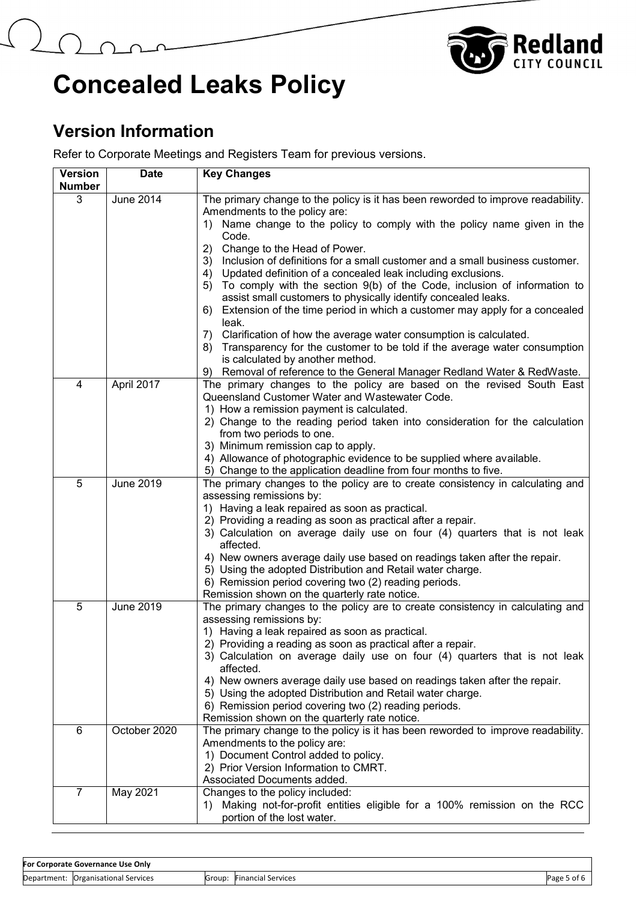



## **Version Information**

Refer to Corporate Meetings and Registers Team for previous versions.

| <b>Version</b> | <b>Date</b>      | <b>Key Changes</b>                                                                                                                               |
|----------------|------------------|--------------------------------------------------------------------------------------------------------------------------------------------------|
| <b>Number</b>  |                  |                                                                                                                                                  |
| 3              | <b>June 2014</b> | The primary change to the policy is it has been reworded to improve readability.<br>Amendments to the policy are:                                |
|                |                  | 1) Name change to the policy to comply with the policy name given in the<br>Code.                                                                |
|                |                  | Change to the Head of Power.<br>2)                                                                                                               |
|                |                  | 3) Inclusion of definitions for a small customer and a small business customer.                                                                  |
|                |                  | 4) Updated definition of a concealed leak including exclusions.                                                                                  |
|                |                  | To comply with the section 9(b) of the Code, inclusion of information to<br>5)<br>assist small customers to physically identify concealed leaks. |
|                |                  | Extension of the time period in which a customer may apply for a concealed<br>6)<br>leak.                                                        |
|                |                  | Clarification of how the average water consumption is calculated.<br>7)                                                                          |
|                |                  | 8) Transparency for the customer to be told if the average water consumption<br>is calculated by another method.                                 |
|                |                  | Removal of reference to the General Manager Redland Water & RedWaste.<br>9)                                                                      |
| 4              | April 2017       | The primary changes to the policy are based on the revised South East                                                                            |
|                |                  | Queensland Customer Water and Wastewater Code.                                                                                                   |
|                |                  | 1) How a remission payment is calculated.                                                                                                        |
|                |                  | 2) Change to the reading period taken into consideration for the calculation                                                                     |
|                |                  | from two periods to one.<br>3) Minimum remission cap to apply.                                                                                   |
|                |                  | 4) Allowance of photographic evidence to be supplied where available.                                                                            |
|                |                  | 5) Change to the application deadline from four months to five.                                                                                  |
| 5              | <b>June 2019</b> | The primary changes to the policy are to create consistency in calculating and                                                                   |
|                |                  | assessing remissions by:                                                                                                                         |
|                |                  | 1) Having a leak repaired as soon as practical.                                                                                                  |
|                |                  | 2) Providing a reading as soon as practical after a repair.                                                                                      |
|                |                  | 3) Calculation on average daily use on four (4) quarters that is not leak<br>affected.                                                           |
|                |                  | 4) New owners average daily use based on readings taken after the repair.                                                                        |
|                |                  | 5) Using the adopted Distribution and Retail water charge.                                                                                       |
|                |                  | 6) Remission period covering two (2) reading periods.<br>Remission shown on the quarterly rate notice.                                           |
| 5              | <b>June 2019</b> | The primary changes to the policy are to create consistency in calculating and                                                                   |
|                |                  | assessing remissions by:                                                                                                                         |
|                |                  | 1) Having a leak repaired as soon as practical.                                                                                                  |
|                |                  | 2) Providing a reading as soon as practical after a repair.                                                                                      |
|                |                  | 3) Calculation on average daily use on four (4) quarters that is not leak<br>affected.                                                           |
|                |                  | 4) New owners average daily use based on readings taken after the repair.                                                                        |
|                |                  | 5) Using the adopted Distribution and Retail water charge.                                                                                       |
|                |                  | 6) Remission period covering two (2) reading periods.                                                                                            |
| 6              | October 2020     | Remission shown on the quarterly rate notice.<br>The primary change to the policy is it has been reworded to improve readability.                |
|                |                  | Amendments to the policy are:                                                                                                                    |
|                |                  | 1) Document Control added to policy.                                                                                                             |
|                |                  | 2) Prior Version Information to CMRT.                                                                                                            |
|                |                  | Associated Documents added.                                                                                                                      |
| $\overline{7}$ | May 2021         | Changes to the policy included:                                                                                                                  |
|                |                  | 1) Making not-for-profit entities eligible for a 100% remission on the RCC                                                                       |
|                |                  | portion of the lost water.                                                                                                                       |

| For Corporate Governance Use Only |                                |                    |                           |      |
|-----------------------------------|--------------------------------|--------------------|---------------------------|------|
| Department:                       | <b>Organisational Services</b> | Group <sup>.</sup> | <b>Financial Services</b> | Page |